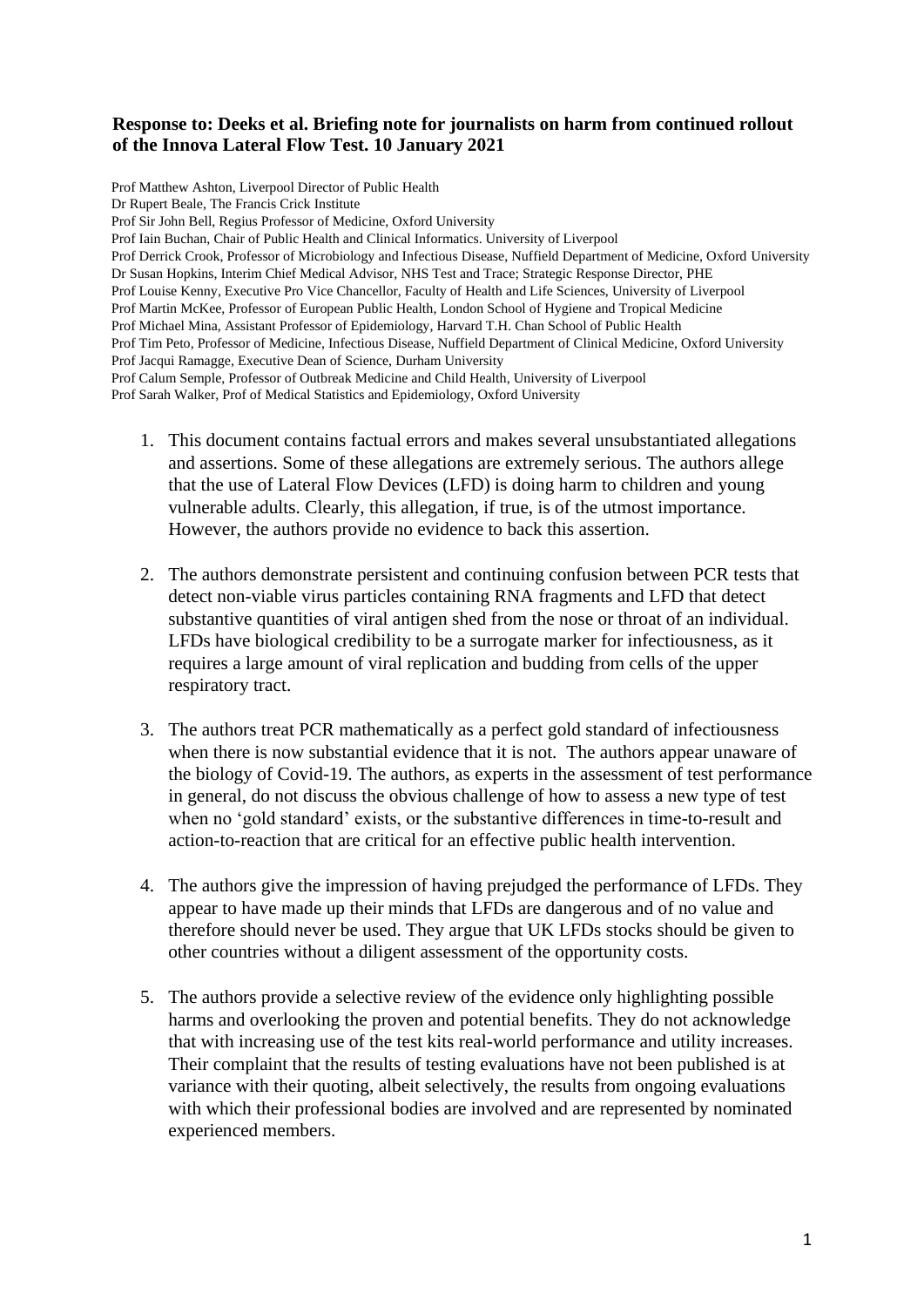## **Response to: Deeks et al. Briefing note for journalists on harm from continued rollout of the Innova Lateral Flow Test. 10 January 2021**

Prof Matthew Ashton, Liverpool Director of Public Health Dr Rupert Beale, The Francis Crick Institute Prof Sir John Bell, Regius Professor of Medicine, Oxford University Prof Iain Buchan, Chair of Public Health and Clinical Informatics. University of Liverpool Prof Derrick Crook, Professor of Microbiology and Infectious Disease, Nuffield Department of Medicine, Oxford University Dr Susan Hopkins, Interim Chief Medical Advisor, NHS Test and Trace; Strategic Response Director, PHE Prof Louise Kenny, Executive Pro Vice Chancellor, Faculty of Health and Life Sciences, University of Liverpool Prof Martin McKee, Professor of European Public Health, London School of Hygiene and Tropical Medicine Prof Michael Mina, Assistant Professor of Epidemiology, Harvard T.H. Chan School of Public Health Prof Tim Peto, Professor of Medicine, Infectious Disease, Nuffield Department of Clinical Medicine, Oxford University Prof Jacqui Ramagge, Executive Dean of Science, Durham University Prof Calum Semple, Professor of Outbreak Medicine and Child Health, University of Liverpool Prof Sarah Walker, Prof of Medical Statistics and Epidemiology, Oxford University

- 1. This document contains factual errors and makes several unsubstantiated allegations and assertions. Some of these allegations are extremely serious. The authors allege that the use of Lateral Flow Devices (LFD) is doing harm to children and young vulnerable adults. Clearly, this allegation, if true, is of the utmost importance. However, the authors provide no evidence to back this assertion.
- 2. The authors demonstrate persistent and continuing confusion between PCR tests that detect non-viable virus particles containing RNA fragments and LFD that detect substantive quantities of viral antigen shed from the nose or throat of an individual. LFDs have biological credibility to be a surrogate marker for infectiousness, as it requires a large amount of viral replication and budding from cells of the upper respiratory tract.
- 3. The authors treat PCR mathematically as a perfect gold standard of infectiousness when there is now substantial evidence that it is not. The authors appear unaware of the biology of Covid-19. The authors, as experts in the assessment of test performance in general, do not discuss the obvious challenge of how to assess a new type of test when no 'gold standard' exists, or the substantive differences in time-to-result and action-to-reaction that are critical for an effective public health intervention.
- 4. The authors give the impression of having prejudged the performance of LFDs. They appear to have made up their minds that LFDs are dangerous and of no value and therefore should never be used. They argue that UK LFDs stocks should be given to other countries without a diligent assessment of the opportunity costs.
- 5. The authors provide a selective review of the evidence only highlighting possible harms and overlooking the proven and potential benefits. They do not acknowledge that with increasing use of the test kits real-world performance and utility increases. Their complaint that the results of testing evaluations have not been published is at variance with their quoting, albeit selectively, the results from ongoing evaluations with which their professional bodies are involved and are represented by nominated experienced members.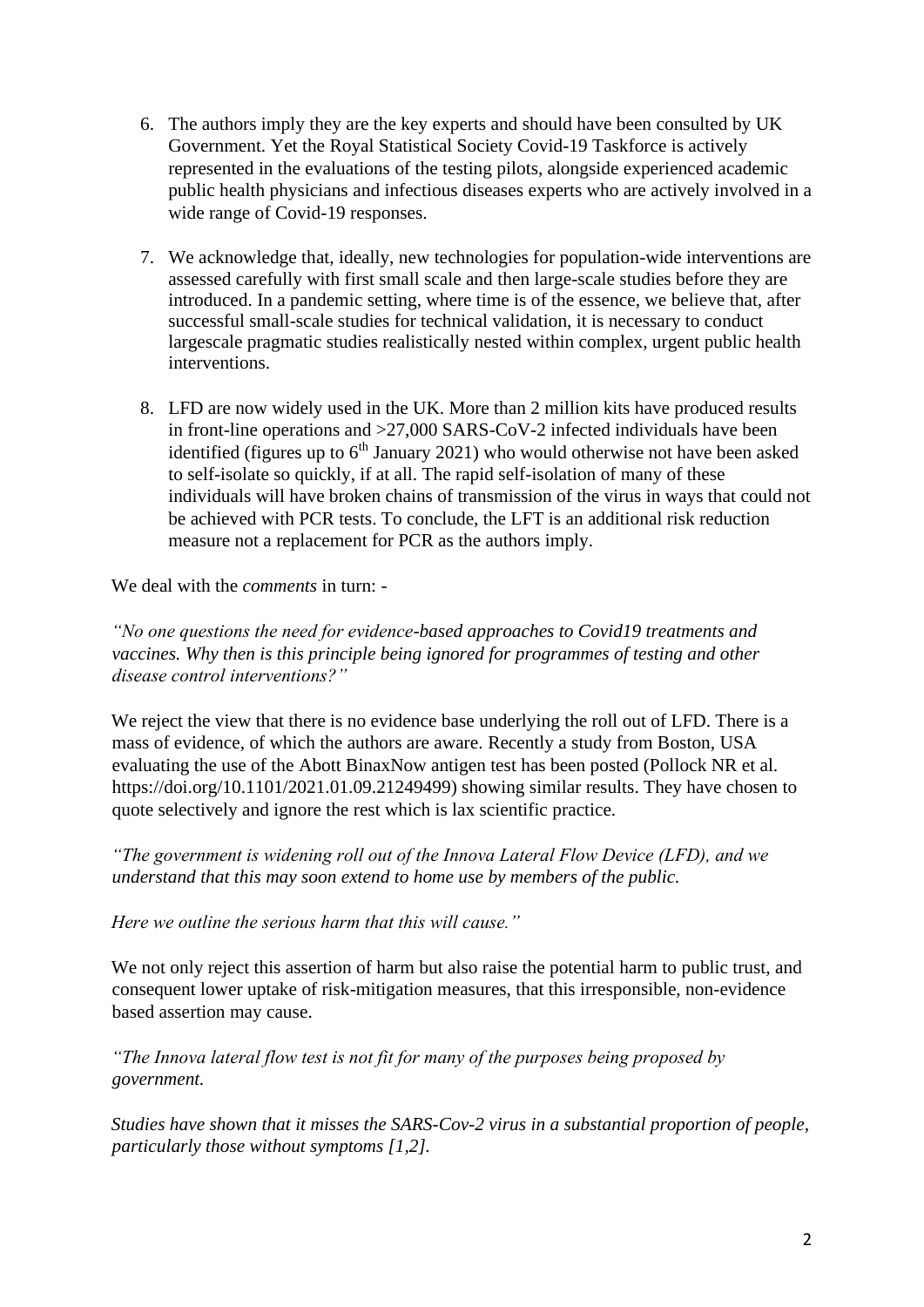- 6. The authors imply they are the key experts and should have been consulted by UK Government. Yet the Royal Statistical Society Covid-19 Taskforce is actively represented in the evaluations of the testing pilots, alongside experienced academic public health physicians and infectious diseases experts who are actively involved in a wide range of Covid-19 responses.
- 7. We acknowledge that, ideally, new technologies for population-wide interventions are assessed carefully with first small scale and then large-scale studies before they are introduced. In a pandemic setting, where time is of the essence, we believe that, after successful small-scale studies for technical validation, it is necessary to conduct largescale pragmatic studies realistically nested within complex, urgent public health interventions.
- 8. LFD are now widely used in the UK. More than 2 million kits have produced results in front-line operations and >27,000 SARS-CoV-2 infected individuals have been identified (figures up to  $6<sup>th</sup>$  January 2021) who would otherwise not have been asked to self-isolate so quickly, if at all. The rapid self-isolation of many of these individuals will have broken chains of transmission of the virus in ways that could not be achieved with PCR tests. To conclude, the LFT is an additional risk reduction measure not a replacement for PCR as the authors imply.

We deal with the *comments* in turn: -

*"No one questions the need for evidence-based approaches to Covid19 treatments and vaccines. Why then is this principle being ignored for programmes of testing and other disease control interventions?"* 

We reject the view that there is no evidence base underlying the roll out of LFD. There is a mass of evidence, of which the authors are aware. Recently a study from Boston, USA evaluating the use of the Abott BinaxNow antigen test has been posted (Pollock NR et al. https://doi.org/10.1101/2021.01.09.21249499) showing similar results. They have chosen to quote selectively and ignore the rest which is lax scientific practice.

*"The government is widening roll out of the Innova Lateral Flow Device (LFD), and we understand that this may soon extend to home use by members of the public.* 

*Here we outline the serious harm that this will cause."* 

We not only reject this assertion of harm but also raise the potential harm to public trust, and consequent lower uptake of risk-mitigation measures, that this irresponsible, non-evidence based assertion may cause.

*"The Innova lateral flow test is not fit for many of the purposes being proposed by government.* 

*Studies have shown that it misses the SARS-Cov-2 virus in a substantial proportion of people, particularly those without symptoms [1,2].*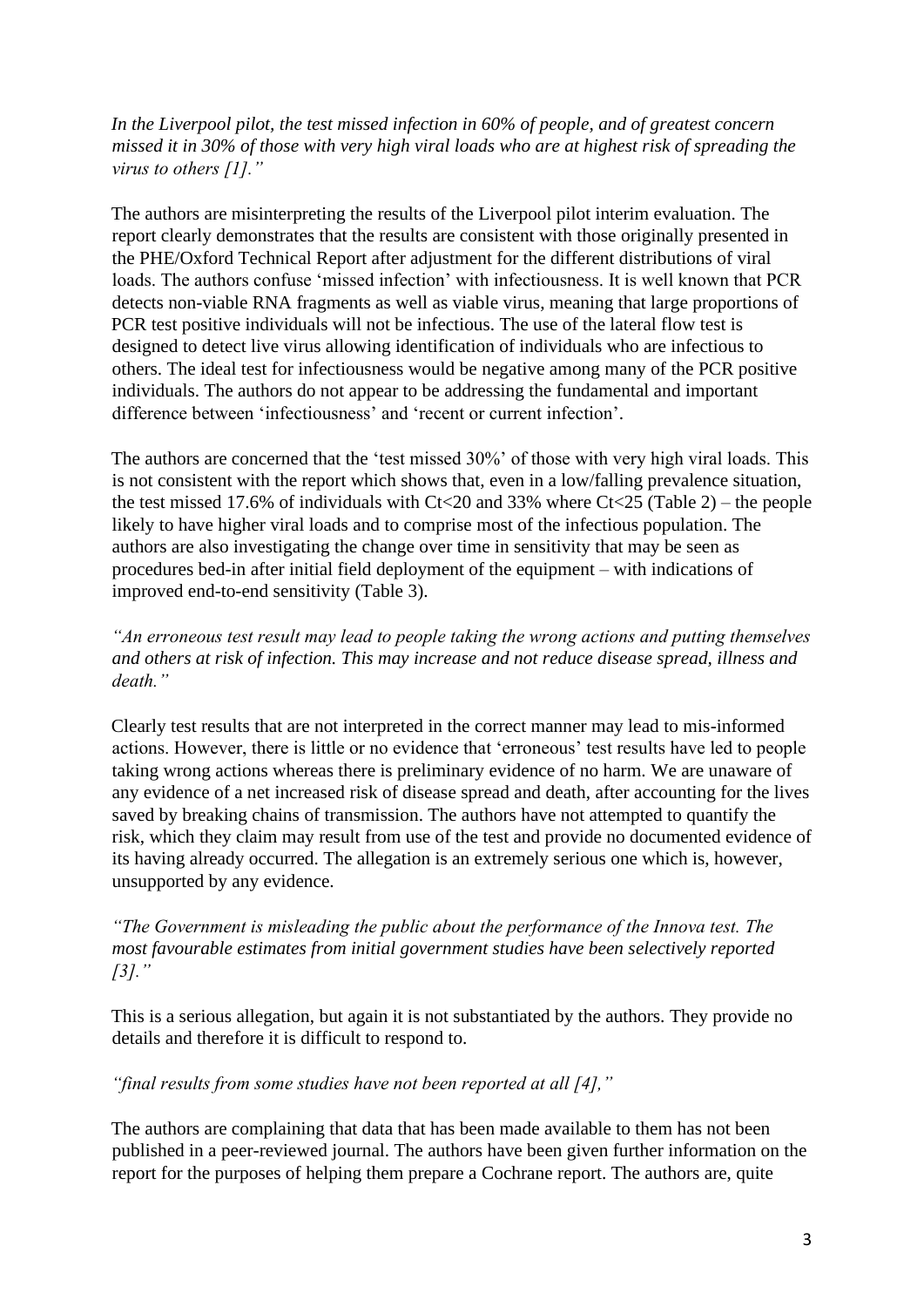*In the Liverpool pilot, the test missed infection in 60% of people, and of greatest concern missed it in 30% of those with very high viral loads who are at highest risk of spreading the virus to others [1]."* 

The authors are misinterpreting the results of the Liverpool pilot interim evaluation. The report clearly demonstrates that the results are consistent with those originally presented in the PHE/Oxford Technical Report after adjustment for the different distributions of viral loads. The authors confuse 'missed infection' with infectiousness. It is well known that PCR detects non-viable RNA fragments as well as viable virus, meaning that large proportions of PCR test positive individuals will not be infectious. The use of the lateral flow test is designed to detect live virus allowing identification of individuals who are infectious to others. The ideal test for infectiousness would be negative among many of the PCR positive individuals. The authors do not appear to be addressing the fundamental and important difference between 'infectiousness' and 'recent or current infection'.

The authors are concerned that the 'test missed 30%' of those with very high viral loads. This is not consistent with the report which shows that, even in a low/falling prevalence situation, the test missed 17.6% of individuals with  $C$ t $<$ 20 and 33% where  $C$ t $lt;$ 25 (Table 2) – the people likely to have higher viral loads and to comprise most of the infectious population. The authors are also investigating the change over time in sensitivity that may be seen as procedures bed-in after initial field deployment of the equipment – with indications of improved end-to-end sensitivity (Table 3).

*"An erroneous test result may lead to people taking the wrong actions and putting themselves and others at risk of infection. This may increase and not reduce disease spread, illness and death."* 

Clearly test results that are not interpreted in the correct manner may lead to mis-informed actions. However, there is little or no evidence that 'erroneous' test results have led to people taking wrong actions whereas there is preliminary evidence of no harm. We are unaware of any evidence of a net increased risk of disease spread and death, after accounting for the lives saved by breaking chains of transmission. The authors have not attempted to quantify the risk, which they claim may result from use of the test and provide no documented evidence of its having already occurred. The allegation is an extremely serious one which is, however, unsupported by any evidence.

*"The Government is misleading the public about the performance of the Innova test. The most favourable estimates from initial government studies have been selectively reported [3]."* 

This is a serious allegation, but again it is not substantiated by the authors. They provide no details and therefore it is difficult to respond to.

*"final results from some studies have not been reported at all [4],"* 

The authors are complaining that data that has been made available to them has not been published in a peer-reviewed journal. The authors have been given further information on the report for the purposes of helping them prepare a Cochrane report. The authors are, quite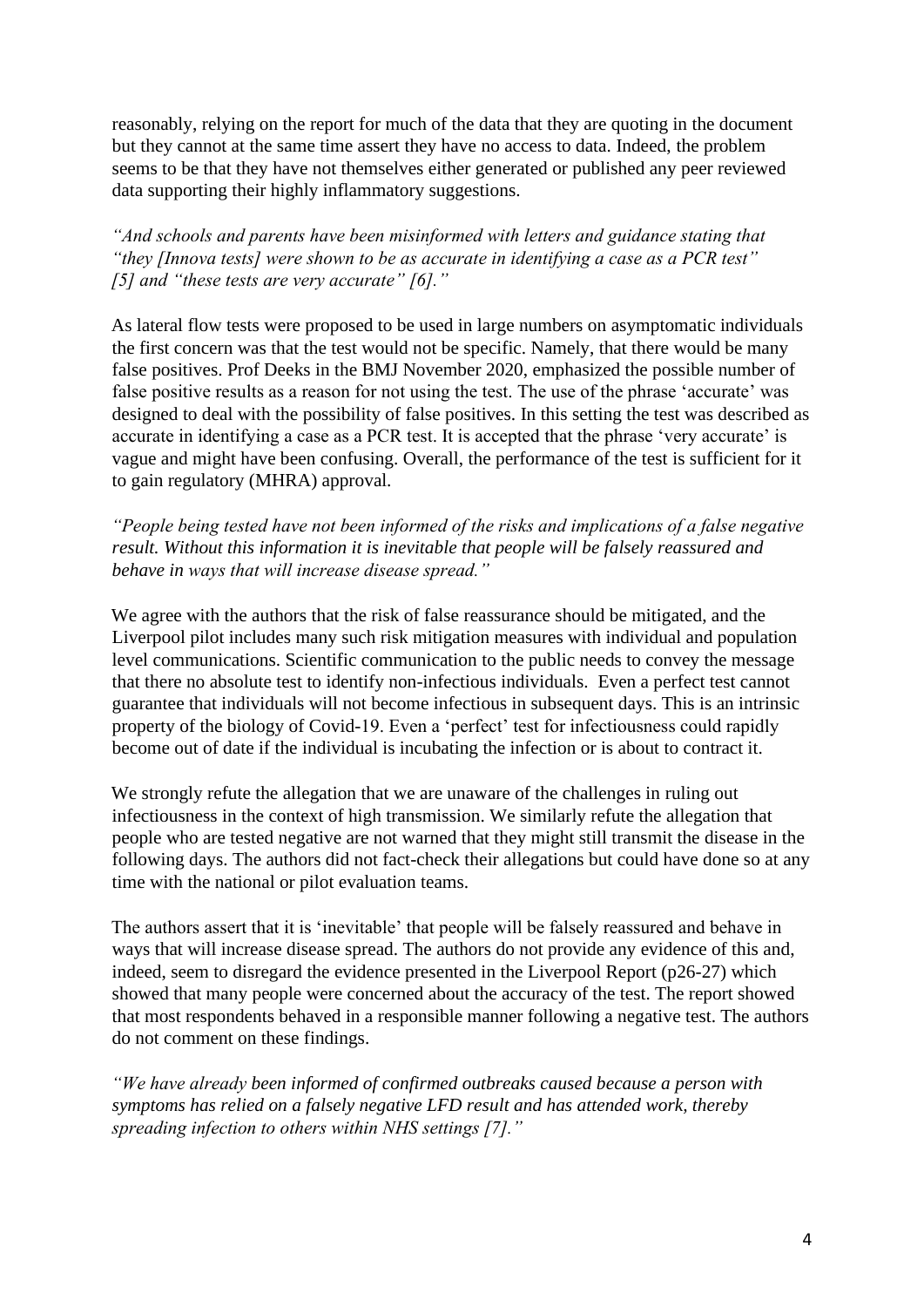reasonably, relying on the report for much of the data that they are quoting in the document but they cannot at the same time assert they have no access to data. Indeed, the problem seems to be that they have not themselves either generated or published any peer reviewed data supporting their highly inflammatory suggestions.

*"And schools and parents have been misinformed with letters and guidance stating that "they [Innova tests] were shown to be as accurate in identifying a case as a PCR test" [5] and "these tests are very accurate" [6]."* 

As lateral flow tests were proposed to be used in large numbers on asymptomatic individuals the first concern was that the test would not be specific. Namely, that there would be many false positives. Prof Deeks in the BMJ November 2020, emphasized the possible number of false positive results as a reason for not using the test. The use of the phrase 'accurate' was designed to deal with the possibility of false positives. In this setting the test was described as accurate in identifying a case as a PCR test. It is accepted that the phrase 'very accurate' is vague and might have been confusing. Overall, the performance of the test is sufficient for it to gain regulatory (MHRA) approval*.* 

*"People being tested have not been informed of the risks and implications of a false negative result. Without this information it is inevitable that people will be falsely reassured and behave in ways that will increase disease spread."* 

We agree with the authors that the risk of false reassurance should be mitigated, and the Liverpool pilot includes many such risk mitigation measures with individual and population level communications. Scientific communication to the public needs to convey the message that there no absolute test to identify non-infectious individuals. Even a perfect test cannot guarantee that individuals will not become infectious in subsequent days. This is an intrinsic property of the biology of Covid-19. Even a 'perfect' test for infectiousness could rapidly become out of date if the individual is incubating the infection or is about to contract it.

We strongly refute the allegation that we are unaware of the challenges in ruling out infectiousness in the context of high transmission. We similarly refute the allegation that people who are tested negative are not warned that they might still transmit the disease in the following days. The authors did not fact-check their allegations but could have done so at any time with the national or pilot evaluation teams.

The authors assert that it is 'inevitable' that people will be falsely reassured and behave in ways that will increase disease spread. The authors do not provide any evidence of this and, indeed, seem to disregard the evidence presented in the Liverpool Report (p26-27) which showed that many people were concerned about the accuracy of the test. The report showed that most respondents behaved in a responsible manner following a negative test. The authors do not comment on these findings.

*"We have already been informed of confirmed outbreaks caused because a person with symptoms has relied on a falsely negative LFD result and has attended work, thereby spreading infection to others within NHS settings [7]."*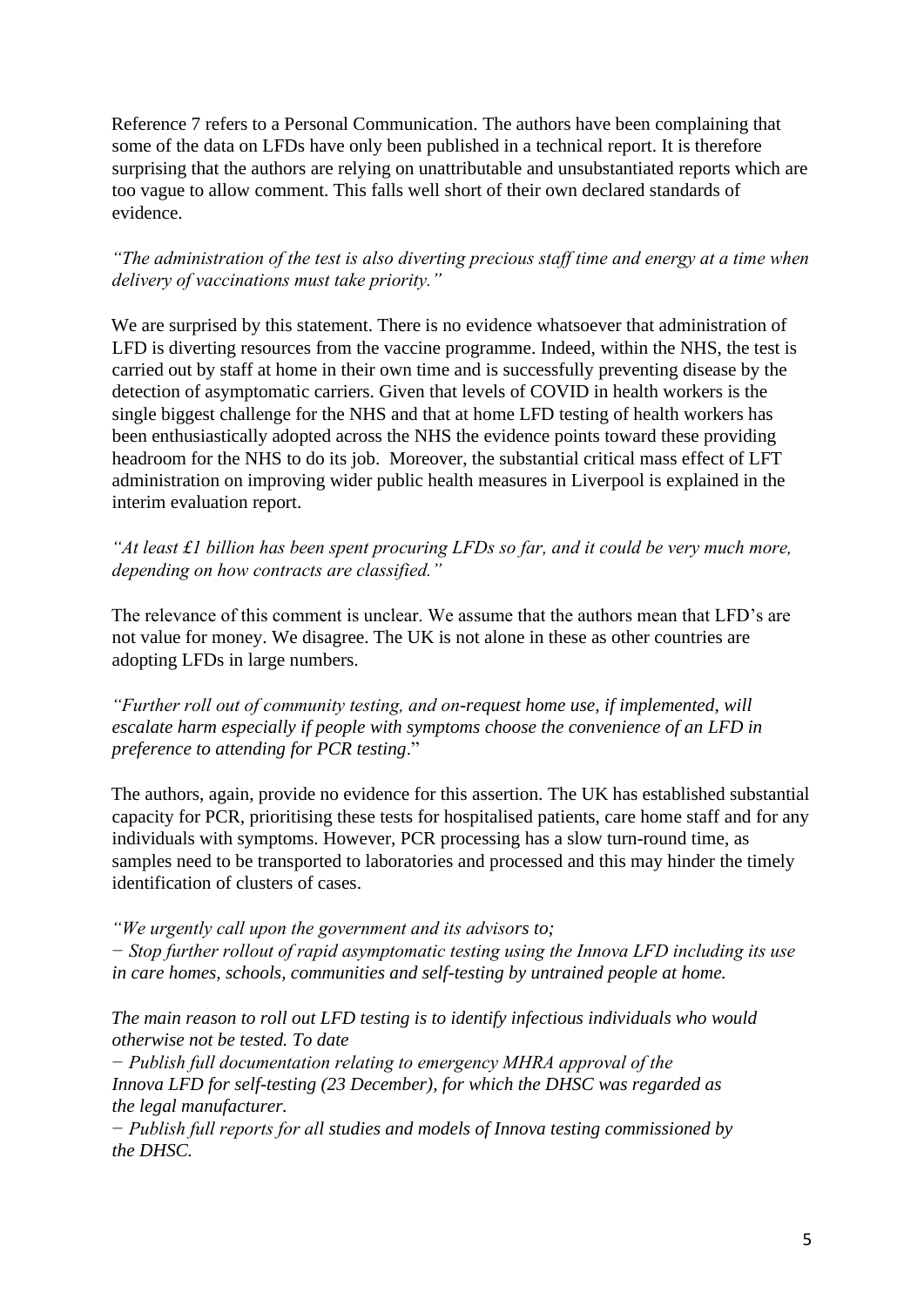Reference 7 refers to a Personal Communication. The authors have been complaining that some of the data on LFDs have only been published in a technical report. It is therefore surprising that the authors are relying on unattributable and unsubstantiated reports which are too vague to allow comment. This falls well short of their own declared standards of evidence.

#### *"The administration of the test is also diverting precious staff time and energy at a time when delivery of vaccinations must take priority."*

We are surprised by this statement. There is no evidence whatsoever that administration of LFD is diverting resources from the vaccine programme. Indeed, within the NHS, the test is carried out by staff at home in their own time and is successfully preventing disease by the detection of asymptomatic carriers. Given that levels of COVID in health workers is the single biggest challenge for the NHS and that at home LFD testing of health workers has been enthusiastically adopted across the NHS the evidence points toward these providing headroom for the NHS to do its job. Moreover, the substantial critical mass effect of LFT administration on improving wider public health measures in Liverpool is explained in the interim evaluation report.

*"At least £1 billion has been spent procuring LFDs so far, and it could be very much more, depending on how contracts are classified."* 

The relevance of this comment is unclear. We assume that the authors mean that LFD's are not value for money. We disagree. The UK is not alone in these as other countries are adopting LFDs in large numbers.

*"Further roll out of community testing, and on-request home use, if implemented, will escalate harm especially if people with symptoms choose the convenience of an LFD in preference to attending for PCR testing*."

The authors, again, provide no evidence for this assertion. The UK has established substantial capacity for PCR, prioritising these tests for hospitalised patients, care home staff and for any individuals with symptoms. However, PCR processing has a slow turn-round time, as samples need to be transported to laboratories and processed and this may hinder the timely identification of clusters of cases.

*"We urgently call upon the government and its advisors to; − Stop further rollout of rapid asymptomatic testing using the Innova LFD including its use in care homes, schools, communities and self-testing by untrained people at home.* 

*The main reason to roll out LFD testing is to identify infectious individuals who would otherwise not be tested. To date* 

*− Publish full documentation relating to emergency MHRA approval of the Innova LFD for self-testing (23 December), for which the DHSC was regarded as the legal manufacturer.* 

*− Publish full reports for all studies and models of Innova testing commissioned by the DHSC.*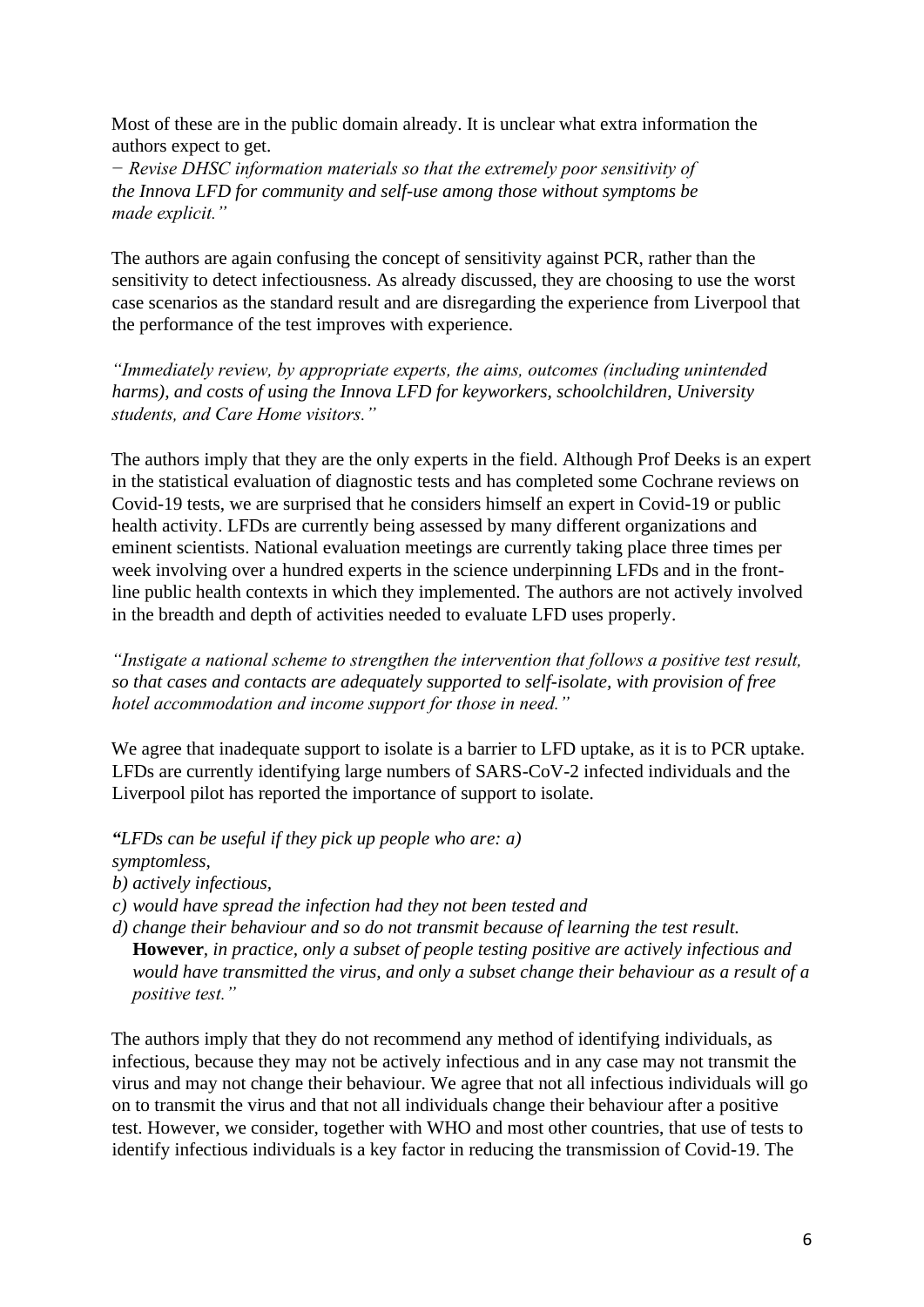Most of these are in the public domain already. It is unclear what extra information the authors expect to get.

*− Revise DHSC information materials so that the extremely poor sensitivity of the Innova LFD for community and self-use among those without symptoms be made explicit."* 

The authors are again confusing the concept of sensitivity against PCR, rather than the sensitivity to detect infectiousness. As already discussed, they are choosing to use the worst case scenarios as the standard result and are disregarding the experience from Liverpool that the performance of the test improves with experience.

*"Immediately review, by appropriate experts, the aims, outcomes (including unintended harms), and costs of using the Innova LFD for keyworkers, schoolchildren, University students, and Care Home visitors."* 

The authors imply that they are the only experts in the field. Although Prof Deeks is an expert in the statistical evaluation of diagnostic tests and has completed some Cochrane reviews on Covid-19 tests, we are surprised that he considers himself an expert in Covid-19 or public health activity. LFDs are currently being assessed by many different organizations and eminent scientists. National evaluation meetings are currently taking place three times per week involving over a hundred experts in the science underpinning LFDs and in the frontline public health contexts in which they implemented. The authors are not actively involved in the breadth and depth of activities needed to evaluate LFD uses properly.

*"Instigate a national scheme to strengthen the intervention that follows a positive test result, so that cases and contacts are adequately supported to self-isolate, with provision of free hotel accommodation and income support for those in need."* 

We agree that inadequate support to isolate is a barrier to LFD uptake, as it is to PCR uptake. LFDs are currently identifying large numbers of SARS-CoV-2 infected individuals and the Liverpool pilot has reported the importance of support to isolate.

- *"LFDs can be useful if they pick up people who are: a) symptomless,*
- *b) actively infectious,*
- *c) would have spread the infection had they not been tested and*
- *d) change their behaviour and so do not transmit because of learning the test result.*  **However***, in practice, only a subset of people testing positive are actively infectious and would have transmitted the virus, and only a subset change their behaviour as a result of a positive test."*

The authors imply that they do not recommend any method of identifying individuals, as infectious, because they may not be actively infectious and in any case may not transmit the virus and may not change their behaviour. We agree that not all infectious individuals will go on to transmit the virus and that not all individuals change their behaviour after a positive test. However, we consider, together with WHO and most other countries, that use of tests to identify infectious individuals is a key factor in reducing the transmission of Covid-19. The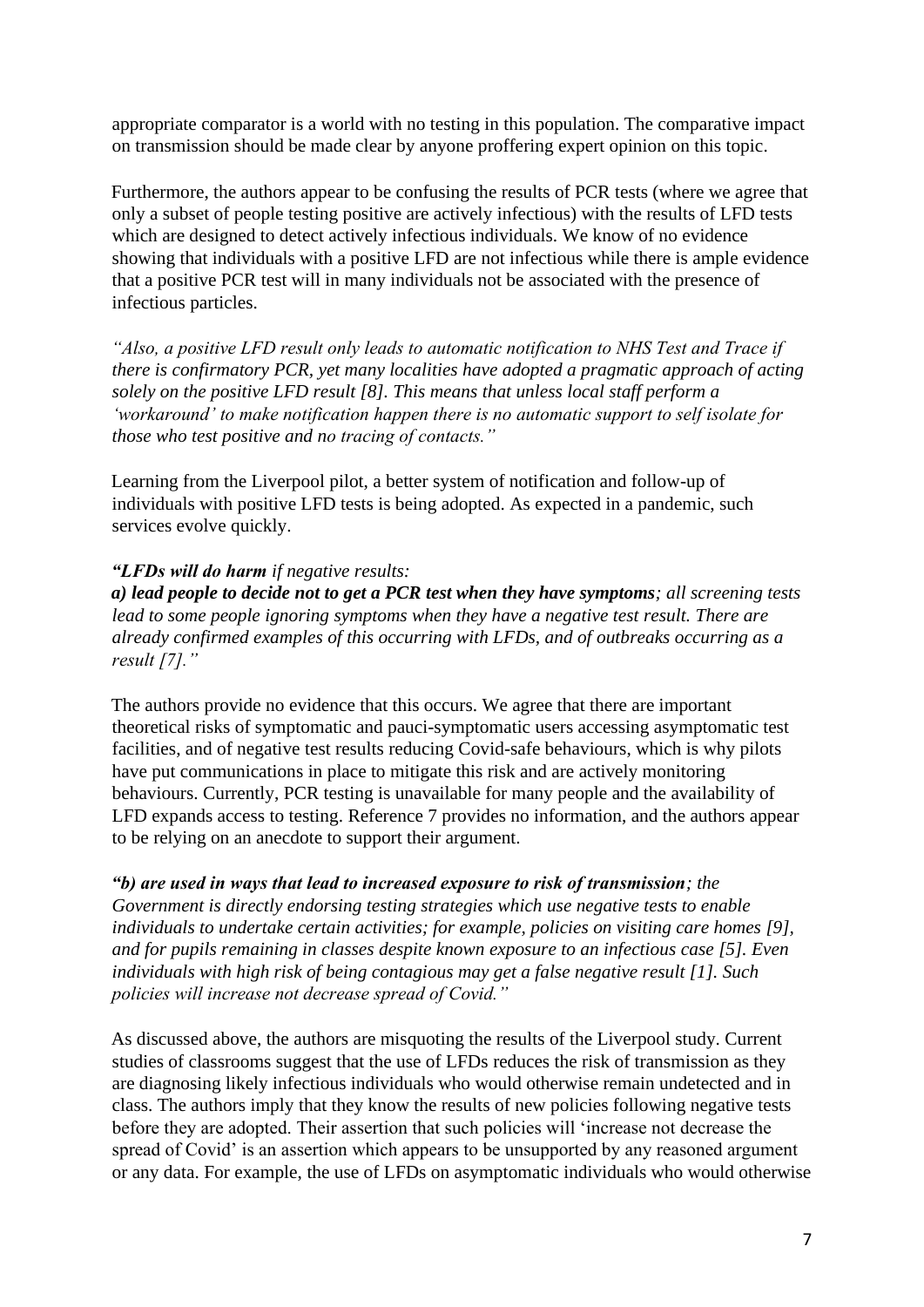appropriate comparator is a world with no testing in this population. The comparative impact on transmission should be made clear by anyone proffering expert opinion on this topic.

Furthermore, the authors appear to be confusing the results of PCR tests (where we agree that only a subset of people testing positive are actively infectious) with the results of LFD tests which are designed to detect actively infectious individuals. We know of no evidence showing that individuals with a positive LFD are not infectious while there is ample evidence that a positive PCR test will in many individuals not be associated with the presence of infectious particles.

*"Also, a positive LFD result only leads to automatic notification to NHS Test and Trace if there is confirmatory PCR, yet many localities have adopted a pragmatic approach of acting solely on the positive LFD result [8]. This means that unless local staff perform a 'workaround' to make notification happen there is no automatic support to self isolate for those who test positive and no tracing of contacts."*

Learning from the Liverpool pilot, a better system of notification and follow-up of individuals with positive LFD tests is being adopted. As expected in a pandemic, such services evolve quickly.

#### *"LFDs will do harm if negative results:*

*a) lead people to decide not to get a PCR test when they have symptoms; all screening tests lead to some people ignoring symptoms when they have a negative test result. There are already confirmed examples of this occurring with LFDs, and of outbreaks occurring as a result [7]."* 

The authors provide no evidence that this occurs. We agree that there are important theoretical risks of symptomatic and pauci-symptomatic users accessing asymptomatic test facilities, and of negative test results reducing Covid-safe behaviours, which is why pilots have put communications in place to mitigate this risk and are actively monitoring behaviours. Currently, PCR testing is unavailable for many people and the availability of LFD expands access to testing. Reference 7 provides no information, and the authors appear to be relying on an anecdote to support their argument.

#### *"b) are used in ways that lead to increased exposure to risk of transmission; the*

*Government is directly endorsing testing strategies which use negative tests to enable individuals to undertake certain activities; for example, policies on visiting care homes [9], and for pupils remaining in classes despite known exposure to an infectious case [5]. Even individuals with high risk of being contagious may get a false negative result [1]. Such policies will increase not decrease spread of Covid."* 

As discussed above, the authors are misquoting the results of the Liverpool study. Current studies of classrooms suggest that the use of LFDs reduces the risk of transmission as they are diagnosing likely infectious individuals who would otherwise remain undetected and in class. The authors imply that they know the results of new policies following negative tests before they are adopted. Their assertion that such policies will 'increase not decrease the spread of Covid' is an assertion which appears to be unsupported by any reasoned argument or any data. For example, the use of LFDs on asymptomatic individuals who would otherwise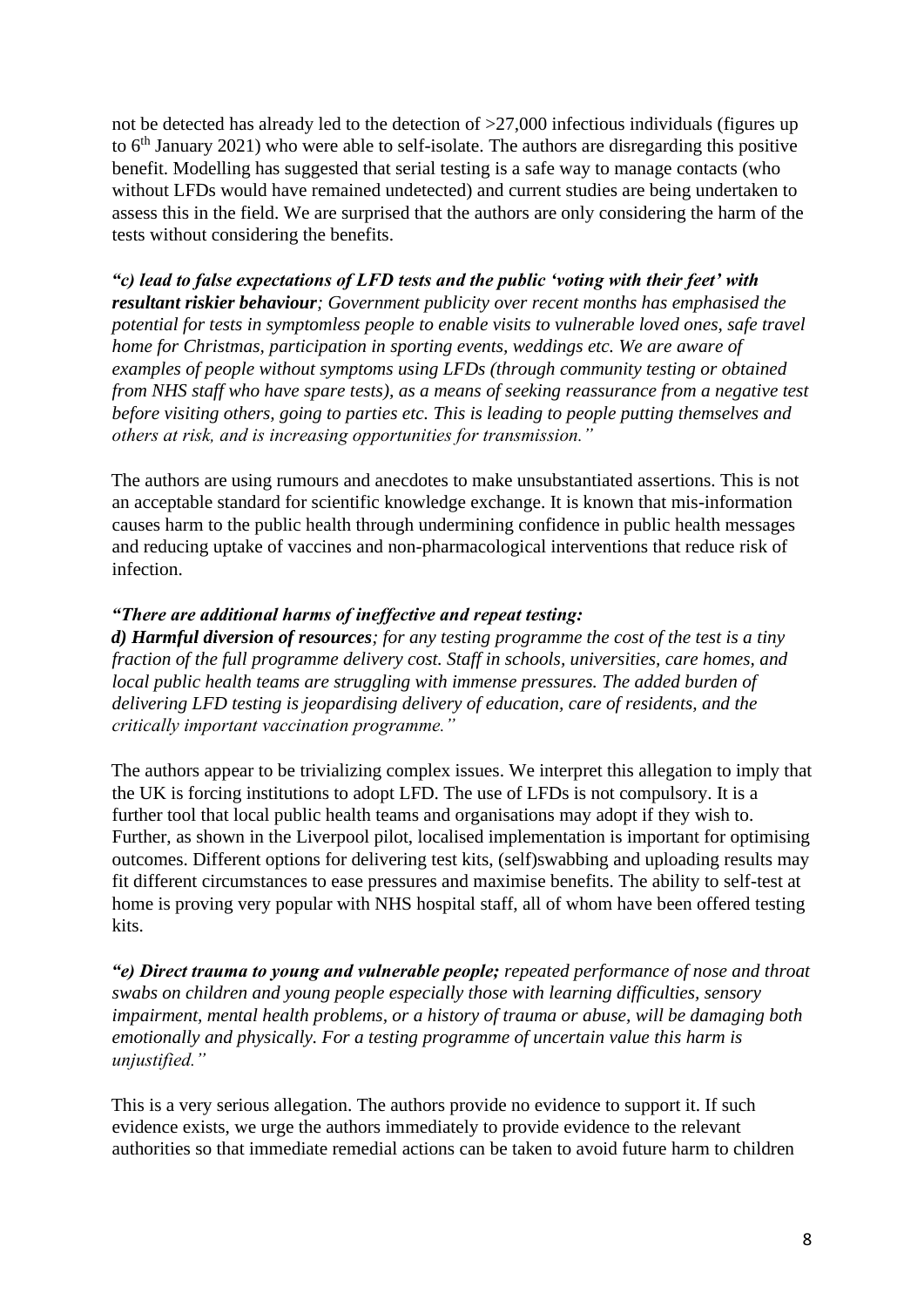not be detected has already led to the detection of  $>27,000$  infectious individuals (figures up to 6<sup>th</sup> January 2021) who were able to self-isolate. The authors are disregarding this positive benefit. Modelling has suggested that serial testing is a safe way to manage contacts (who without LFDs would have remained undetected) and current studies are being undertaken to assess this in the field. We are surprised that the authors are only considering the harm of the tests without considering the benefits.

*"c) lead to false expectations of LFD tests and the public 'voting with their feet' with resultant riskier behaviour; Government publicity over recent months has emphasised the potential for tests in symptomless people to enable visits to vulnerable loved ones, safe travel home for Christmas, participation in sporting events, weddings etc. We are aware of examples of people without symptoms using LFDs (through community testing or obtained from NHS staff who have spare tests), as a means of seeking reassurance from a negative test before visiting others, going to parties etc. This is leading to people putting themselves and others at risk, and is increasing opportunities for transmission."* 

The authors are using rumours and anecdotes to make unsubstantiated assertions. This is not an acceptable standard for scientific knowledge exchange. It is known that mis-information causes harm to the public health through undermining confidence in public health messages and reducing uptake of vaccines and non-pharmacological interventions that reduce risk of infection.

#### *"There are additional harms of ineffective and repeat testing:*

*d) Harmful diversion of resources; for any testing programme the cost of the test is a tiny fraction of the full programme delivery cost. Staff in schools, universities, care homes, and local public health teams are struggling with immense pressures. The added burden of delivering LFD testing is jeopardising delivery of education, care of residents, and the critically important vaccination programme."* 

The authors appear to be trivializing complex issues. We interpret this allegation to imply that the UK is forcing institutions to adopt LFD. The use of LFDs is not compulsory. It is a further tool that local public health teams and organisations may adopt if they wish to. Further, as shown in the Liverpool pilot, localised implementation is important for optimising outcomes. Different options for delivering test kits, (self)swabbing and uploading results may fit different circumstances to ease pressures and maximise benefits. The ability to self-test at home is proving very popular with NHS hospital staff, all of whom have been offered testing kits.

*"e) Direct trauma to young and vulnerable people; repeated performance of nose and throat swabs on children and young people especially those with learning difficulties, sensory impairment, mental health problems, or a history of trauma or abuse, will be damaging both emotionally and physically. For a testing programme of uncertain value this harm is unjustified."* 

This is a very serious allegation. The authors provide no evidence to support it. If such evidence exists, we urge the authors immediately to provide evidence to the relevant authorities so that immediate remedial actions can be taken to avoid future harm to children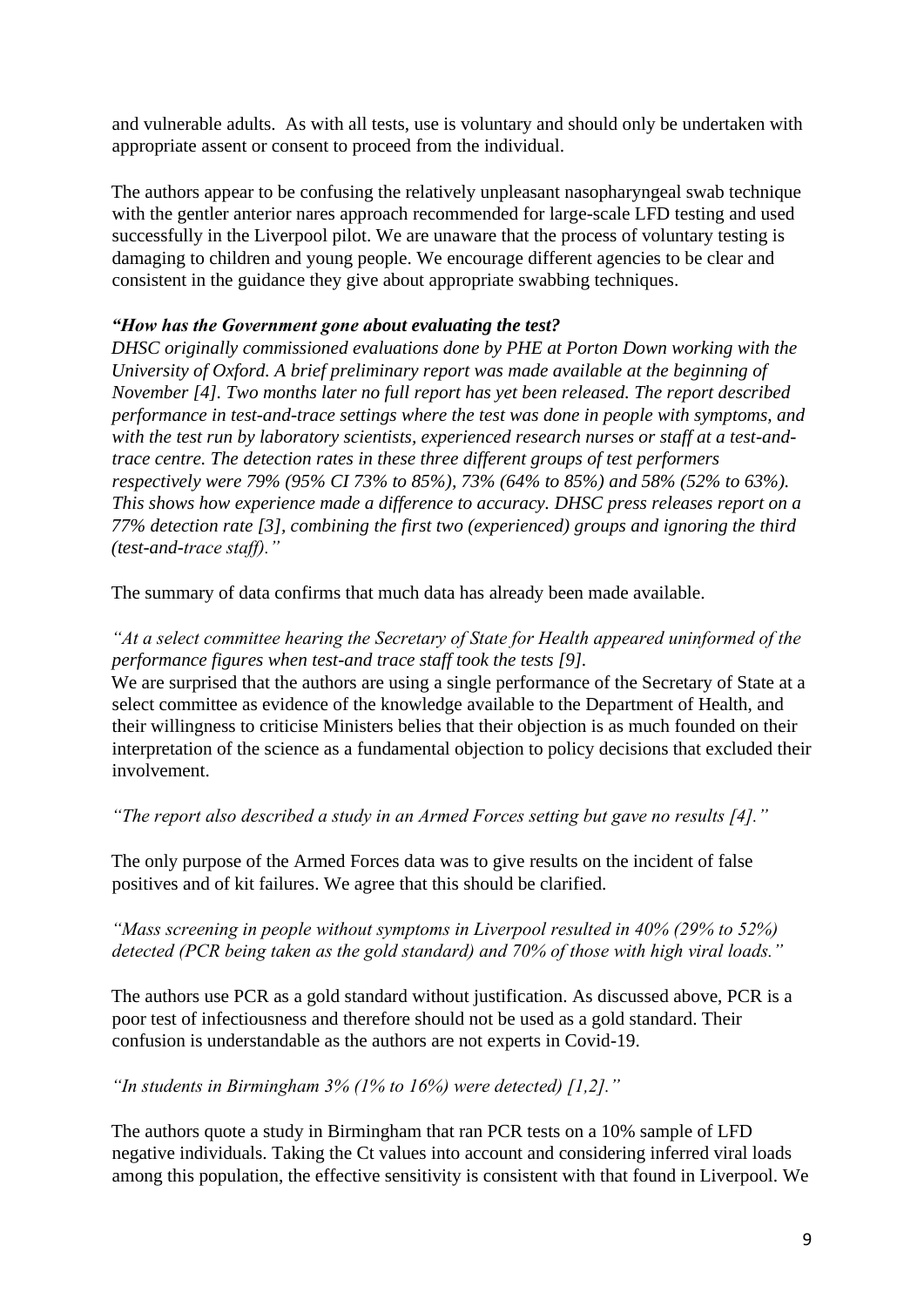and vulnerable adults. As with all tests, use is voluntary and should only be undertaken with appropriate assent or consent to proceed from the individual.

The authors appear to be confusing the relatively unpleasant nasopharyngeal swab technique with the gentler anterior nares approach recommended for large-scale LFD testing and used successfully in the Liverpool pilot. We are unaware that the process of voluntary testing is damaging to children and young people. We encourage different agencies to be clear and consistent in the guidance they give about appropriate swabbing techniques.

## *"How has the Government gone about evaluating the test?*

*DHSC originally commissioned evaluations done by PHE at Porton Down working with the University of Oxford. A brief preliminary report was made available at the beginning of November [4]. Two months later no full report has yet been released. The report described performance in test-and-trace settings where the test was done in people with symptoms, and with the test run by laboratory scientists, experienced research nurses or staff at a test-andtrace centre. The detection rates in these three different groups of test performers respectively were 79% (95% CI 73% to 85%), 73% (64% to 85%) and 58% (52% to 63%). This shows how experience made a difference to accuracy. DHSC press releases report on a 77% detection rate [3], combining the first two (experienced) groups and ignoring the third (test-and-trace staff)."* 

The summary of data confirms that much data has already been made available.

## *"At a select committee hearing the Secretary of State for Health appeared uninformed of the performance figures when test-and trace staff took the tests [9].*

We are surprised that the authors are using a single performance of the Secretary of State at a select committee as evidence of the knowledge available to the Department of Health, and their willingness to criticise Ministers belies that their objection is as much founded on their interpretation of the science as a fundamental objection to policy decisions that excluded their involvement.

*"The report also described a study in an Armed Forces setting but gave no results [4]."* 

The only purpose of the Armed Forces data was to give results on the incident of false positives and of kit failures. We agree that this should be clarified.

# *"Mass screening in people without symptoms in Liverpool resulted in 40% (29% to 52%) detected (PCR being taken as the gold standard) and 70% of those with high viral loads."*

The authors use PCR as a gold standard without justification. As discussed above, PCR is a poor test of infectiousness and therefore should not be used as a gold standard. Their confusion is understandable as the authors are not experts in Covid-19.

*"In students in Birmingham 3% (1% to 16%) were detected) [1,2]."* 

The authors quote a study in Birmingham that ran PCR tests on a 10% sample of LFD negative individuals. Taking the Ct values into account and considering inferred viral loads among this population, the effective sensitivity is consistent with that found in Liverpool. We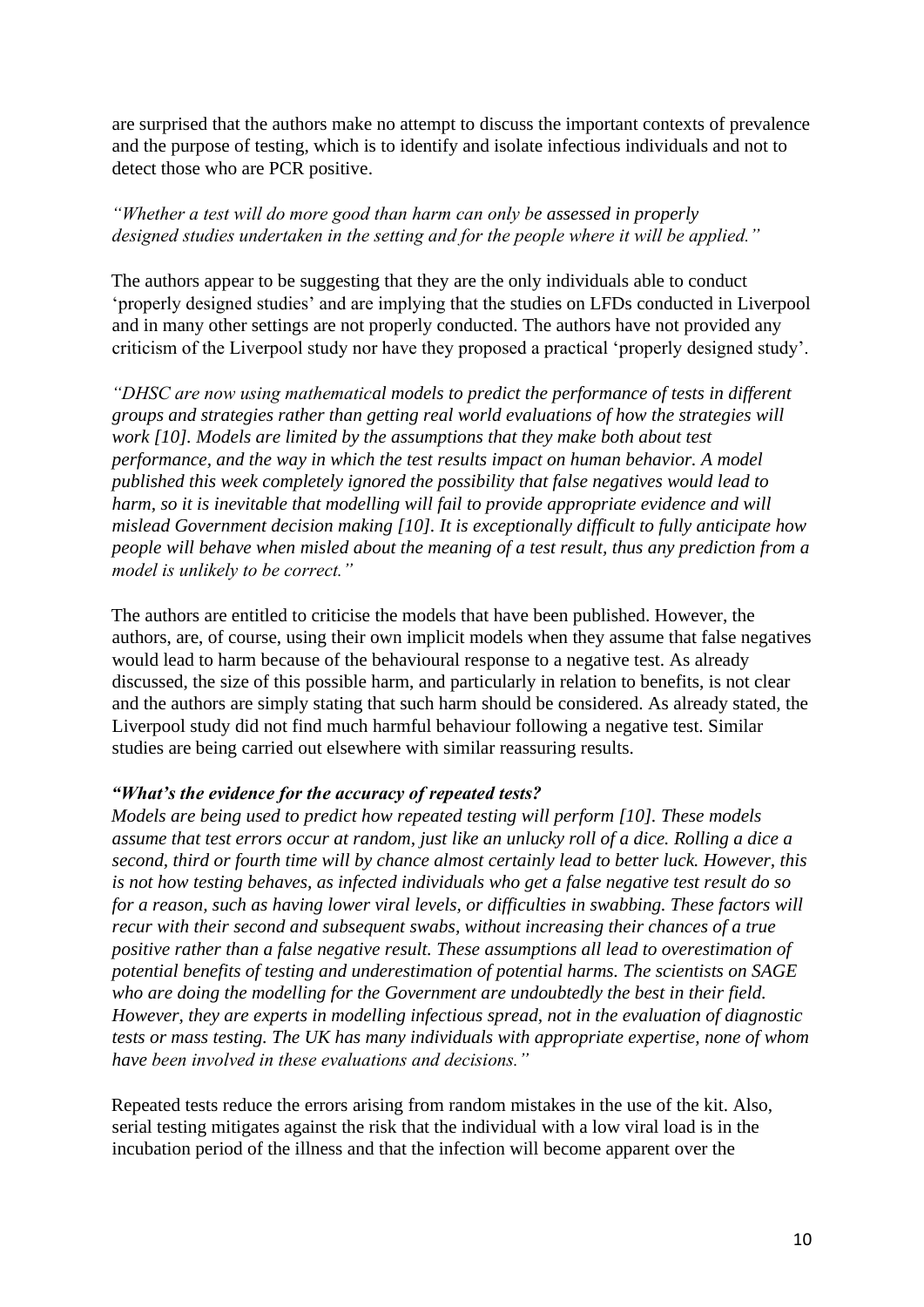are surprised that the authors make no attempt to discuss the important contexts of prevalence and the purpose of testing, which is to identify and isolate infectious individuals and not to detect those who are PCR positive.

## *"Whether a test will do more good than harm can only be assessed in properly designed studies undertaken in the setting and for the people where it will be applied."*

The authors appear to be suggesting that they are the only individuals able to conduct 'properly designed studies' and are implying that the studies on LFDs conducted in Liverpool and in many other settings are not properly conducted. The authors have not provided any criticism of the Liverpool study nor have they proposed a practical 'properly designed study'.

*"DHSC are now using mathematical models to predict the performance of tests in different groups and strategies rather than getting real world evaluations of how the strategies will work [10]. Models are limited by the assumptions that they make both about test performance, and the way in which the test results impact on human behavior. A model published this week completely ignored the possibility that false negatives would lead to harm, so it is inevitable that modelling will fail to provide appropriate evidence and will mislead Government decision making [10]. It is exceptionally difficult to fully anticipate how people will behave when misled about the meaning of a test result, thus any prediction from a model is unlikely to be correct."* 

The authors are entitled to criticise the models that have been published. However, the authors, are, of course, using their own implicit models when they assume that false negatives would lead to harm because of the behavioural response to a negative test. As already discussed, the size of this possible harm, and particularly in relation to benefits, is not clear and the authors are simply stating that such harm should be considered. As already stated, the Liverpool study did not find much harmful behaviour following a negative test. Similar studies are being carried out elsewhere with similar reassuring results.

#### *"What's the evidence for the accuracy of repeated tests?*

*Models are being used to predict how repeated testing will perform [10]. These models assume that test errors occur at random, just like an unlucky roll of a dice. Rolling a dice a second, third or fourth time will by chance almost certainly lead to better luck. However, this is not how testing behaves, as infected individuals who get a false negative test result do so for a reason, such as having lower viral levels, or difficulties in swabbing. These factors will recur with their second and subsequent swabs, without increasing their chances of a true positive rather than a false negative result. These assumptions all lead to overestimation of potential benefits of testing and underestimation of potential harms. The scientists on SAGE who are doing the modelling for the Government are undoubtedly the best in their field. However, they are experts in modelling infectious spread, not in the evaluation of diagnostic tests or mass testing. The UK has many individuals with appropriate expertise, none of whom have been involved in these evaluations and decisions."* 

Repeated tests reduce the errors arising from random mistakes in the use of the kit. Also, serial testing mitigates against the risk that the individual with a low viral load is in the incubation period of the illness and that the infection will become apparent over the